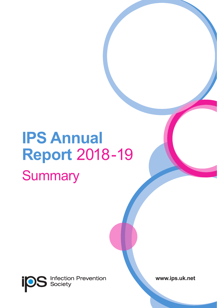# **IPS Annual Report** 2018-19 **Summary**

**Infection Prevention**<br>Society **ips** 

**www.ips.uk.net**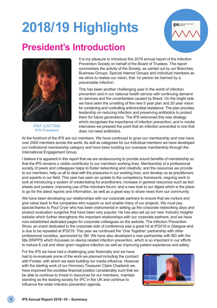# **2018/19 Highlights**



# **President's Introduction**



PAT CATTINI IPS President

It is my pleasure to introduce this 2019 annual report of the Infection Prevention Society on behalf of the Board of Trustees. The report summarises the activity of the Society, as carried out by our Branches, Business Groups, Special Interest Groups and individual members as we strive to realise our vision, that 'no person be harmed by a preventable infection'.

This has been another challenging year in the world of infection prevention and in our national health service with continuing demand on services and the uncertainties caused by Brexit. On the bright side we have seen the unveiling of the new 5 year plan and 20 year vision for containing and controlling antimicrobial resistance. The plan provides leadership on reducing infection and preserving antibiotics to protect them for future generations. The IPS welcomed this new strategy which recognises the importance of infection prevention; and in media interviews we pressed the point that an infection prevented is one that does not need antibiotics.

At the forefront of the IPS are our members. We have continued to grow our membership and now have over 2000 members across the world. As well as categories for our individual members we have developed our institutional membership category and have been building our overseas membership through the International Engagement Group.

I believe it is apparent in this report that we are endeavouring to provide sound benefits of membership so that the IPS remains a visible contributor to our members working lives. Membership of a professional society of peers and colleagues helps to foster networking and creativity; and the resources we provide to our members, help us all to deal with the pressures in our working lives, and develop us as practitioners and experts in our field. This year has seen an update to the competency framework; ongoing work to look at introducing a system of credentialing for practitioners, increase in general resources such as fact sheets and posters; improving use of the members forum; and a new look to our digest which is the place to go for the latest reports and information, as well as a great way to share news from our community.

We have been developing our relationships with our corporate partners to ensure that we nurture and give value back to the companies who support us and enable many of our projects. We must pay special thanks to Paul Cryer who has been instrumental in setting up the corporate networking days and product evaluation surgeries that have been very popular. He has also set up our new 'Industry Insights' website which further strengthens the important relationships with our corporate partners; and we have now established dedicated pages for corporate colleagues on the website. The Infection Prevention Show, an event dedicated to the corporate side of conference was a great hit at IP2018 in Glasgow and is due to be repeated at IP2019. This year we continued the 'One Together' partnership with other professional societies, sponsored by 3M. We have also developed a new partnership with BD with the title DRIPPS which focusses on device related infection prevention, which is so important in our efforts to reduce E.coli and other gram negative infection as well as improving patient experience and safety.

For the IPS we have had a challenging year financially and we have had to re-evaluate some of the work we planned including the contract with Forster, with which we were building our media influence. However with the sterling work of our Honorary Treasurer Claire Chadwick we have improved the societies financial position considerably such that we be able to continue to invest in resources for our members, maintain standing as the leading society for IPC in the UK and continue to influence the wider infection prevention agenda.

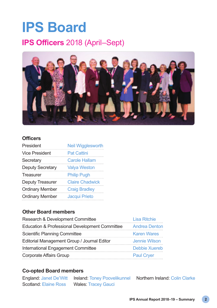# **IPS Board**

### **IPS Officers** 2018 (April–Sept)



### **Officers**

| President               | <b>Neil Wigglesworth</b> |
|-------------------------|--------------------------|
| <b>Vice President</b>   | <b>Pat Cattini</b>       |
| Secretary               | <b>Carole Hallam</b>     |
| <b>Deputy Secretary</b> | <b>Valya Weston</b>      |
| Treasurer               | <b>Philip Pugh</b>       |
| <b>Deputy Treasurer</b> | <b>Claire Chadwick</b>   |
| <b>Ordinary Member</b>  | <b>Craig Bradley</b>     |
| <b>Ordinary Member</b>  | Jacqui Prieto            |

#### **Other Board members**

| Research & Development Committee               | Lisa Ritchie         |
|------------------------------------------------|----------------------|
| Education & Professional Development Committee | <b>Andrea Denton</b> |
| Scientific Planning Committee                  | <b>Karen Wares</b>   |
| Editorial Management Group / Journal Editor    | Jennie Wilson        |
| International Engagement Committee             | Debbie Xuereb        |
| Corporate Affairs Group                        | <b>Paul Cryer</b>    |

#### **Co-opted Board members**

|                       | <b>England: Janet De'Witt Ireland: Toney Poovelikunnel</b> | Northern Ireland: Colin Clarke |
|-----------------------|------------------------------------------------------------|--------------------------------|
| Scotland: Elaine Ross | Wales: Tracey Gauci                                        |                                |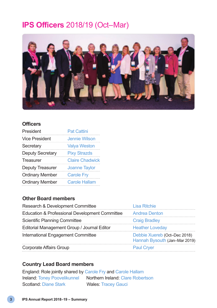### **IPS Officers** 2018/19 (Oct–Mar)



#### **Officers**

| President               | <b>Pat Cattini</b>     |
|-------------------------|------------------------|
| <b>Vice President</b>   | <b>Jennie Wilson</b>   |
| Secretary               | <b>Valya Weston</b>    |
| <b>Deputy Secretary</b> | <b>Pixy Strazds</b>    |
| Treasurer               | <b>Claire Chadwick</b> |
| Deputy Treasurer        | <b>Joanne Taylor</b>   |
| <b>Ordinary Member</b>  | <b>Carole Fry</b>      |
| <b>Ordinary Member</b>  | <b>Carole Hallam</b>   |

### **Other Board members**

| Research & Development Committee               | Lisa Ritchie                                                  |
|------------------------------------------------|---------------------------------------------------------------|
| Education & Professional Development Committee | <b>Andrea Denton</b>                                          |
| Scientific Planning Committee                  | <b>Craig Bradley</b>                                          |
| Editorial Management Group / Journal Editor    | <b>Heather Loveday</b>                                        |
| International Engagement Committee             | Debbie Xuereb (Oct-Dec 2018)<br>Hannah Bysouth (Jan-Mar 2019) |
| Corporate Affairs Group                        | <b>Paul Cryer</b>                                             |

#### **Country Lead Board members**

England: Role jointly shared by Carole Fry and Carole Hallam Ireland: Toney Poovelikunnel Northern Ireland: Clare Robertson Scotland: Diane Stark Wales: Tracey Gauci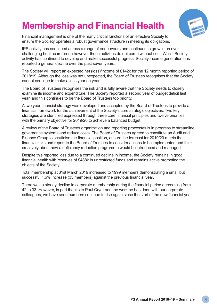# **Membership and Financial Health**



Financial management is one of the many critical functions of an effective Society to ensure the Society operates a robust governance structure in meeting its obligations.

IPS activity has continued across a range of endeavours and continues to grow in an ever challenging healthcare arena however these activities do not come without cost. Whilst Society activity has continued to develop and make successful progress, Society income generation has reported a general decline over the past seven years.

The Society will report an expected net (loss)/income of £142k for the 12 month reporting period of 2018/19. Although the loss was not unexpected, the Board of Trustees recognises that the Society cannot continue to make a loss year on year.

The Board of Trustees recognises the risk and is fully aware that the Society needs to closely examine its income and expenditure. The Society reported a second year of budget deficit last year, and this continues to be the Board of Trustees top priority.

A two year financial strategy was developed and accepted by the Board of Trustees to provide a financial framework for the achievement of the Society's core strategic objectives. Two key strategies are identified expressed through three core financial principles and twelve priorities, with the primary objective for 2019/20 to achieve a balanced budget.

A review of the Board of Trustees organization and reporting processes is in progress to streamline governance systems and reduce costs. The Board of Trustees agreed to constitute an Audit and Finance Group to scrutinise the financial position, ensure the forecast for 2019/20 meets the financial risks and report to the Board of Trustees to consider actions to be implemented and think creatively about how a deficiency reduction programme would be introduced and managed.

Despite this reported loss due to a continued decline in income, the Society remains in good financial health with reserves of £488k in unrestricted funds and remains active promoting the objects of the Society.

Total membership at 31st March 2019 increased to 1999 members demonstrating a small but successful 1.6% increase (33 members) against the previous financial year.

There was a steady decline in corporate membership during the financial period decreasing from 42 to 33. However, in part thanks to Paul Cryer and the work he has done with our corporate colleagues, we have seen numbers continue to rise again since the start of the new financial year.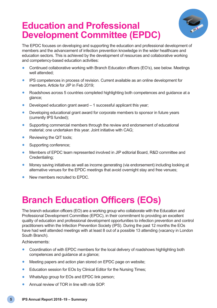### **Education and Professional Development Committee (EPDC)**



The EPDC focuses on developing and supporting the education and professional development of members and the advancement of infection prevention knowledge in the wider healthcare and education sectors. This is achieved by the development of resources and collaborative working and competency-based education activities:

- Continued collaborative working with Branch Education officers (EO's), see below. Meetings well attended:
- IPS competences in process of revision. Current available as an online development for members. Article for JIP in Feb 2019;
- Roadshows across 5 countries completed highlighting both competences and guidance at a glance;
- Developed education grant award 1 successful applicant this year:
- Developing educational grant award for corporate members to sponsor in future years (currently IPS funded);
- Supporting commercial members through the review and endorsement of educational material; one undertaken this year. Joint initiative with CAG;
- Reviewing the QIT tools:
- Supporting conference;
- Members of EPDC team represented involved in JIP editorial Board, R&D committee and Credentialing;
- Money saving initiatives as well as income generating (via endorsement) including looking at alternative venues for the EPDC meetings that avoid overnight stay and free venues;
- New members recruited to EPDC.

# **Branch Education Officers (EOs)**

The branch education officers (EO) are a working group who collaborate with the Education and Professional Development Committee (EPDC), in their commitment to providing an excellent quality of education and professional development opportunities to infection prevention and control practitioners within the Infection Prevention Society (IPS). During the past 12 months the EOs have had well attended meetings with at least 8 out of a possible 13 attending (vacancy in London South Branch).

Achievements:

- Coordination of with EPDC members for the local delivery of roadshows highlighting both competences and guidance at a glance;
- Meeting papers and action plan stored on EPDC page on website;
- Education session for EOs by Clinical Editor for the Nursing Times:
- WhatsApp group for EOs and EPDC link person;
- Annual review of TOR in line with role SOP.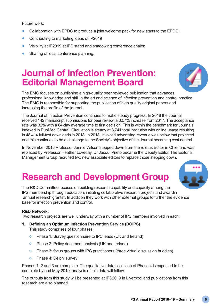Future work:

- Collaboration with EPDC to produce a joint welcome pack for new starts to the EPDC;
- Contributing to marketing ideas of IP2019
- Visibility at IP2019 at IPS stand and shadowing conference chairs;
- Sharing of local conference planning.

### **Journal of Infection Prevention: Editorial Management Board**



The EMG focuses on publishing a high-quality peer reviewed publication that advances professional knowledge and skill in the art and science of infection prevention and control practice. The EMG is responsible for supporting the publication of high quality original papers and increasing the profile of the journal.

The Journal of Infection Prevention continues to make steady progress. In 2018 the Journal received 142 manuscript submissions for peer review, a 32.7% increase from 2017. The acceptance rate was 32% with a 64-day average time to first decision. This is within the benchmark for Journals indexed in PubMed Central. Circulation is steady at 8,741 total institution with online usage resulting in 48,414 full-text downloads in 2018. In 2018, invoiced advertising revenue was below that projected and this continues to be a challenge to the Society's objective of the Journal becoming cost neutral.

In November 2018 Professor Jennie Wilson stepped down from the role as Editor in Chief and was replaced by Professor Heather Loveday, Dr Jacqui Prieto became the Deputy Editor. The Editorial Management Group recruited two new associate editors to replace those stepping down.

### **Research and Development Group**

The R&D Committee focuses on building research capability and capacity among the IPS membership through education, initiating collaborative research projects and awardin annual research grants\*. In addition they work with other external groups to further the evidence base for infection prevention and control.

#### **R&D Network:**

Two research projects are well underway with a number of IPS members involved in each:

**1. Defining an Optimum Infection Prevention Service (DOIPS)**

This study comprises of four phases:

- o Phase 1: Survey questionnaire to IPC leads (UK and Ireland)
- o Phase 2: Policy document analysis (UK and Ireland)
- o Phase 3: focus groups with IPC practitioners (three virtual discussion huddles)
- o Phase 4: Delphi survey

Phases 1, 2 and 3 are complete. The qualitative data collection of Phase 4 is expected to be complete by end May 2019; analysis of this data will follow.

The outputs from this study will be presented at IPS2019 in Liverpool and publications from this research are also planned.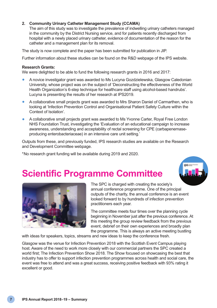#### **2. Community Urinary Catheter Management Study (CCAMA)**

The aim of this study was to investigate the prevalence of indwelling urinary catheters managed in the community by the District Nursing service, and for patients recently discharged from hospital with a newly placed urinary catheter, evidence of documentation of the reason for the catheter and a management plan for its removal.

The study is now complete and the paper has been submitted for publication in JIP.

Further information about these studies can be found on the R&D webpage of the IPS website.

#### **Research Grants:**

We were delighted to be able to fund the following research grants in 2016 and 2017:

- A novice investigator grant was awarded to Ms Lucyna Gozdzielewska, Glasgow Caledonian University, whose project was on the subject of 'Deconstructing the effectiveness of the World Health Organization's 6-step technique for healthcare staff using alcohol-based handrubs'. Lucyna is presenting the results of her research at IPS2019.
- A collaborative small projects grant was awarded to Mrs Sharon Daniel of Carmarthen, who is looking at 'Infection Prevention Control and Organisational Patient Safety Culture within the Context of Isolation'.
- A collaborative small projects grant was awarded to Ms Yvonne Carter, Royal Free London NHS Foundation Trust, investigating the 'Evaluation of an educational campaign to increase awareness, understanding and acceptability of rectal screening for CPE (carbapenemaseproducing enterobacteriaceae) in an intensive care unit setting.'

Outputs from these, and previously funded, IPS research studies are available on the Research and Development Committee webpage.

\*No research grant funding will be available during 2019 and 2020.



## **Scientific Programme Committee**



The SPC is charged with creating the society's annual conference programme. One of the principal outputs of the charity, the annual conference is an event looked forward to by hundreds of infection prevention practitioners each year.

The committee meets four times over the planning cycle beginning in November just after the previous conference. At this meeting the group review feedback from the previous event, debrief on their own experiences and broadly plan the programme. This is always an active meeting bustling

with ideas for speakers, topics, streams and new ideas to keep the conference fresh.

Glasgow was the venue for Infection Prevention 2018 with the Scottish Event Campus playing host. Aware of the need to work more closely with our commercial partners the SPC created a world first; The Infection Prevention Show 2018. The Show focused on showcasing the best that industry has to offer to support infection prevention programmes across health and social care, the event was free to attend and was a great success, receiving positive feedback with 93% rating it excellent or good.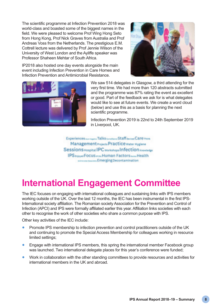The scientific programme at Infection Prevention 2018 was world-class and boasted some of the biggest names in the field. We were pleased to welcome Prof Wing Hong Seto from Hong Kong, Prof Nick Graves from Australia and Prof Andreas Voss from the Netherlands. The prestigious E.M. Cottrell lecture was delivered by Prof Jennie Wilson of the University of West London and the Ayliffe speaker was Professor Shaheen Mehtar of South Africa.



IP2018 also hosted one day events alongside the main event including Infection Prevention in Care Homes and Infection Prevention and Antimicrobial Resistance.



We saw 514 delegates in Glasgow, a third attending for the very first time. We had more than 120 abstracts submitted and the programme was 87% rating the event as excellent or good. Part of the feedback we ask for is what delegates would like to see at future events. We create a word cloud (below) and use this as a basis for planning the next scientific programme.

Infection Prevention 2019 is 22nd to 24th September 2019 in Liverpool, UK.

Experiences ............ Talks ............ Staff anim Care miss Management Projects Practice Water Hydene Sessions Hospital IPC workshops Infection Knowledge **IPS tripus FOCUS equil-Human Factors ...... Health** session to the Emerging Decontamination

### **International Engagement Committee**

The IEC focuses on engaging with international colleagues and sustaining links with IPS members working outside of the UK. Over the last 12 months, the IEC has been instrumental in the first IPS-International society affiliation. The Romanian society Association for the Prevention and Control of Infection (APCI) and IPS were formally affiliated earlier this year. Affiliation links societies with each other to recognise the work of other societies who share a common purpose with IPS.

Other key activities of the IEC include:

- Promote IPS membership to infection prevention and control practitioners outside of the UK and continuing to promote the Special Access Membership for colleagues working in resource limited settings;
- Engage with international IPS members, this spring the international member Facebook group was launched. Two international delegate places for this year's conference were funded;
- Work in collaboration with the other standing committees to provide resources and activities for international members in the UK and abroad.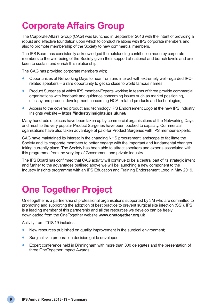# **Corporate Affairs Group**

The Corporate Affairs Group (CAG) was launched in September 2016 with the intent of providing a robust and effective foundation upon which to conduct relations with IPS corporate members and also to promote membership of the Society to new commercial members.

The IPS Board has consistently acknowledged the outstanding contribution made by corporate members to the well-being of the Society given their support at national and branch levels and are keen to sustain and enrich this relationship.

The CAG has provided corporate members with;

- Opportunities at Networking Days to hear from and interact with extremely well-regarded IPCrelated speakers – a rare opportunity to get so close to world famous names;
- Product Surgeries at which IPS member-Experts working in teams of three provide commercial organisations with feedback and guidance concerning issues such as market positioning, efficacy and product development concerning HCAI-related products and technologies;
- Access to the covered product and technology IPS Endorsement Logo at the new IPS Industry Insights website – **https://industryinsights.ips.uk.net/**

Many hundreds of places have been taken up by commercial organisations at the Networking Days and most to the very popular Product Surgeries have been booked to capacity. Commercial oganisations have also taken advantage of paid-for Product Surgeries with IPS member-Experts.

CAG have maintained its interest in the changing NHS procurement landscape to facilitate the Society and its corporate members to better engage with the important and fundamental changes taking currently place. The Society has been able to attract speakers and experts associated with this programme from the very top of Government and private industry.

The IPS Board has confirmed that CAG activity will continue to be a central part of its strategic intent and further to the advantages outlined above we will be launching a new component to the Industry Insights programme with an IPS Education and Training Endorsement Logo in May 2019.

### **One Together Project**

OneTogether is a partnership of professional organisations supported by 3M who are committed to promoting and supporting the adoption of best practice to prevent surgical site infection (SSI). IPS is a leading member of this partnership and all the resources we develop can be freely downloaded from the OneTogether website **www.onetogether.org.uk**

Activity from 2018/19 includes:

- New resources published on quality improvement in the surgical environment;
- Surgical skin preparation decision guide developed;
- Expert conference held in Birmingham with more than 300 delegates and the presentation of three OneTogether Impact Awards.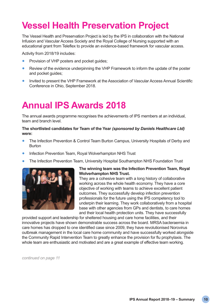# **Vessel Health Preservation Project**

The Vessel Health and Preservation Project is led by the IPS in collaboration with the National Infusion and Vascular Access Society and the Royal College of Nursing supported with an educational grant from Teleflex to provide an evidence-based framework for vascular access.

Activity from 2018/19 includes:

- Provision of VHP posters and pocket guides;
- Review of the evidence underpinning the VHP Framework to inform the update of the poster and pocket quides:
- Invited to present the VHP Framework at the Association of Vascular Access Annual Scientific Conference in Ohio, September 2018.

## **Annual IPS Awards 2018**

The annual awards programme recognises the achievements of IPS members at an individual, team and branch level.

#### **The shortlisted candidates for Team of the Year** *(sponsored by Daniels Healthcare Ltd)* **were:**

- The Infection Prevention & Control Team Burton Campus, University Hospitals of Derby and Burton
- Infection Prevention Team, Royal Wolverhampton NHS Trust
- The Infection Prevention Team, University Hospital Southampton NHS Foundation Trust



#### **The winning team was the Infection Prevention Team, Royal Wolverhampton NHS Trust.**

They are a cohesive team with a long history of collaborative working across the whole health economy. They have a core objective of working with teams to achieve excellent patient outcomes. They successfully develop infection prevention professionals for the future using the IPS competency tool to underpin their learning. They work collaboratively from a hospital base with other agencies from GPs and dentists, to care homes and their local health protection units. They have successfully

provided support and leadership for sheltered housing and care home facilities, and their innovative projects have shown demonstrable success across the board. MRSA bacteraemia in care homes has dropped to one identified case since 2009, they have revolutionised Norovirus outbreak management in the local care home community and have successfully worked alongside the Community Rapid Intervention Team to greatly enhance the provision for flu prophylaxis. The whole team are enthusiastic and motivated and are a great example of effective team working.

*continued on page 11*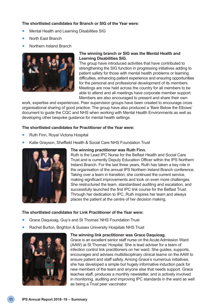#### **The shortlisted candidates for Branch or SIG of the Year were:**

- Mental Health and Learning Disabilities SIG
- North East Branch
- Northern Ireland Branch



#### **The winning branch or SIG was the Mental Health and Learning Disabilities SIG.**

The group have introduced activities that have contributed to strengthening the SIG function in progressing initiatives adding to patient safety for those with mental health problems or learning difficulties, enhancing patient experience and ensuring opportunities for the personal and professional development of its members. Meetings are now held across the country for all members to be able to attend and all meetings have corporate member support. Members are also encouraged to present and share their own

work, expertise and experiences. Peer supervision groups have been created to encourage cross organisational sharing of good practice. The group have also produced a 'Bare Below the Elbows' document to guide the CQC and NHS when working with Mental Health Environments as well as developing other bespoke guidance for mental health settings.

#### **The shortlisted candidates for Practitioner of the Year were:**

- Ruth Finn, Royal Victoria Hospital
- Katie Grayson, Sheffield Health & Social Care NHS Foundation Trust



#### **The winning practitioner was Ruth Finn.**

Ruth is the Lead IPC Nurse for the Belfast Health and Social Care Trust and is currently Deputy Education Officer within the IPS Northern Ireland Branch. For the last three years, Ruth has taken a key role in the organisation of the annual IPS Northern Ireland Branch conference. Taking over a team in transition, she continued the current service, making significant improvements and took on even more challenges. She restructured the team, standardised auditing and escalation, and successfully launched the first IPC link course for the Belfast Trust. Through her dedication to IPC, Ruth inspires her team and always places the patient at the centre of her decision making.

#### **The shortlisted candidates for Link Practitioner of the Year were:**

- Grace Daquioag, Guy's and St Thomas' NHS Foundation Trust
- Rachel Burton, Brighton & Sussex University Hospitals NHS Trust



#### **The winning link practitioner was Grace Daquioag.**

Grace is an excellent senior staff nurse on the Acute Admission Ward (AAW) at St Thomas' Hospital. She is lead adviser for a team of infection control link practitioners on her ward. She guides, supports, encourages and advises multidisciplinary clinical teams on the AAW to ensure patient and staff safety. Among Grace's numerous initiatives, she has developed a simple but hugely informative induction pack for new members of the team and anyone else that needs support. Grace teaches staff, produces a monthly newsletter, and is actively involved in monitoring, auditing and improving IPC standards in the ward as well as being a Trust peer vaccinator.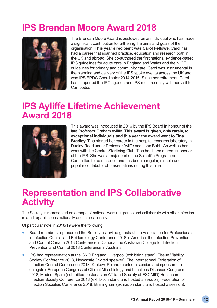# **IPS Brendan Moore Award 2018**



The Brendan Moore Award is bestowed on an individual who has made a significant contribution to furthering the aims and goals of the organisation. **This year's recipient was Carol Pellowe.** Carol has had a career that spanned practice, education and research both in the UK and abroad. She co-authored the first national evidence-based IPC guidelines for acute care in England and Wales and the NICE guidelines for primary and community care. Carol was instrumental in the planning and delivery of the IPS spoke events across the UK and was IPS EPDC Coordinator 2014-2016. Since her retirement, Carol has supported the IPC agenda and IPS most recently with her visit to Cambodia.

### **IPS Ayliffe Lifetime Achievement Award 2018**



This award was introduced in 2016 by the IPS Board in honour of the late Professor Graham Ayliffe. **This award is given, only rarely, to exceptional individuals and this year the award went to Tina Bradley.** Tina started her career in the hospital research laboratory in Dudley Road under Professor Ayliffe and John Babb. As well as her work with the Central Sterilising Club, Tina has been a great supporter of the IPS. She was a major part of the Scientific Programme Committee for conference and has been a regular, reliable and popular contributor of presentations during this time.

### **Representation and IPS Collaborative Activity**

The Society is represented on a range of national working groups and collaborate with other infection related organisations nationally and internationally.

Of particular note in 2018/19 were the following:

- Board members represented the Society as invited guests at the Association for Professionals in Infection Control and Epidemiology Conference 2018 in America; the Infection Prevention and Control Canada 2018 Conference in Canada; the Australian College for Infection Prevention and Control 2018 Conference in Australia;
- IPS had representation at the CNO England, Liverpool (exhibition stand); Tissue Viability Society Conference 2018, Newcastle (invited speaker); The International Federation of Infection Control Conference 2018, Krakow, Poland (hosted a session and sponsored a delegate); European Congress of Clinical Microbiology and Infectious Diseases Congress 2018, Madrid, Spain (submitted poster as an Affiliated Society of ESCMID) Healthcare Infection Society Conference 2018 (exhibition stand and hosted a session); Federation of Infection Societies Conference 2018, Birmingham (exhibition stand and hosted a session).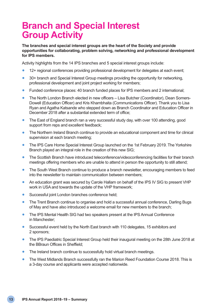### **Branch and Special Interest Group Activity**

#### **The branches and special interest groups are the heart of the Society and provide opportunities for collaborating, problem solving, networking and professional development for IPS members.**

Activity highlights from the 14 IPS branches and 5 special interest groups include:

- 12+ regional conferences providing professional development for delegates at each event;
- 30+ branch and Special Interest Group meetings providing the opportunity for networking, professional development and joint project working for members;
- Funded conference places: 40 branch funded places for IPS members and 2 international;
- The North London Branch elected in new officers Lisa Butcher (Coordinator), Dean Somers-Dowell (Education Officer) and Kris Khambhaita (Communications Officer). Thank you to Lisa Ryan and Agatha Katsande who stepped down as Branch Coordinator and Education Officer in December 2018 after a substantial extended term of office;
- The East of England branch ran a very successful study day, with over 100 attending, good support from reps and excellent feedback;
- The Northern Ireland Branch continue to provide an educational component and time for clinical supervision at each branch meeting;
- The IPS Care Home Special Interest Group launched on the 1st February 2019. The Yorkshire Branch played an integral role in the creation of this new SIG;
- The Scottish Branch have introduced teleconference/videoconferencing facilities for their branch meetings offering members who are unable to attend in person the opportunity to still attend;
- The South West Branch continue to produce a branch newsletter, encouraging members to feed into the newsletter to maintain communication between members;
- An education grant was secured by Carole Hallam on behalf of the IPS IV SIG to present VHP work in USA and towards the update of the VHP framework;
- Successful joint London branches conference held;
- The Trent Branch continue to organise and hold a successful annual conference, Darling Bugs of May and have also introduced a welcome email for new members to the branch;
- The IPS Mental Health SIG had two speakers present at the IPS Annual Conference in Manchester;
- Successful event held by the North East branch with 110 delegates, 15 exhibitors and 2 sponsors;
- The IPS Paediatric Special Interest Group held their inaugural meeting on the 28th June 2018 at the BBraun Offices in Sheffield;
- The Ireland branch continue to successfully hold virtual branch meetings.
- The West Midlands Branch successfully ran the Marion Reed Foundation Course 2018. This is a 3-day course and applicants were accepted nationwide.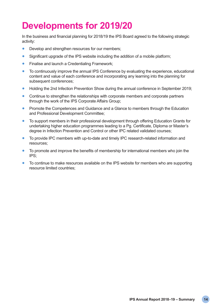# **Developments for 2019/20**

In the business and financial planning for 2018/19 the IPS Board agreed to the following strategic activity:

- Develop and strengthen resources for our members;
- Significant upgrade of the IPS website including the addition of a mobile platform;
- Finalise and launch a Credentialing Framework:
- To continuously improve the annual IPS Conference by evaluating the experience, educational content and value of each conference and incorporating any learning into the planning for subsequent conferences;
- Holding the 2nd Infection Prevention Show during the annual conference in September 2019;
- Continue to strengthen the relationships with corporate members and corporate partners through the work of the IPS Corporate Affairs Group;
- Promote the Competences and Guidance and a Glance to members through the Education and Professional Development Committee;
- To support members in their professional development through offering Education Grants for undertaking higher education programmes leading to a Pg. Certificate, Diploma or Master's degree in Infection Prevention and Control or other IPC related validated courses;
- To provide IPC members with up-to-date and timely IPC research-related information and resources;
- To promote and improve the benefits of membership for international members who join the IPS;
- To continue to make resources available on the IPS website for members who are supporting resource limited countries;